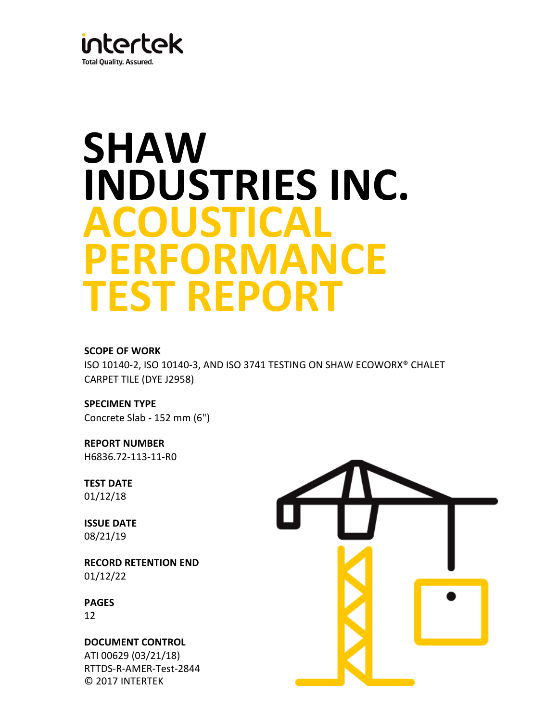

# **SHAW INDUSTRIES INC. ACOUSTICAL PERFORMANCE TEST REPORT**

# **SCOPE OF WORK**

ISO 10140-2, ISO 10140-3, AND ISO 3741 TESTING ON SHAW ECOWORX® CHALET CARPET TILE (DYE J2958)

**SPECIMEN TYPE** Concrete Slab - 152 mm (6")

**REPORT NUMBER** H6836.72-113-11-R0

**TEST DATE** 01/12/18

**ISSUE DATE** 08/21/19

**RECORD RETENTION END**  01/12/22

**PAGES**

12

**DOCUMENT CONTROL**  ATI 00629 (03/21/18) RTTDS-R-AMER-Test-2844 © 2017 INTERTEK

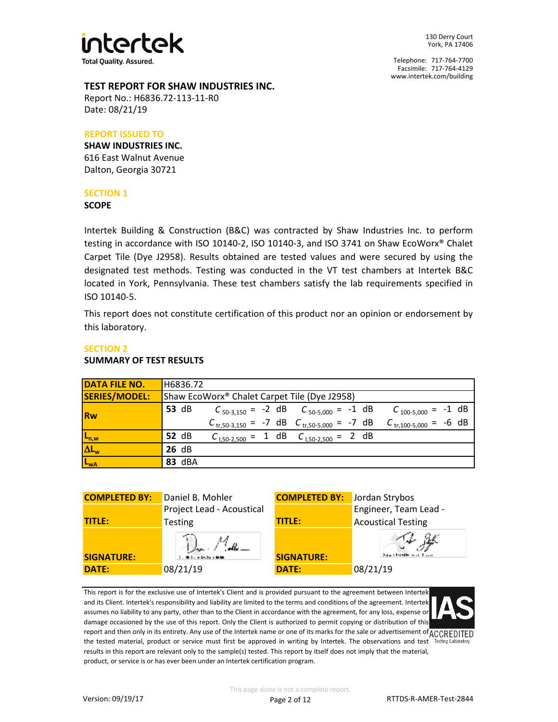

130 Derry Court York, PA 17406

Telephone: 717-764-7700 Facsimile: 717-764-4129 www.intertek.com/building

### **TEST REPORT FOR SHAW INDUSTRIES INC.**

Report No.: H6836.72-113-11-R0 Date: 08/21/19

## **REPORT ISSUED TO**

**SHAW INDUSTRIES INC.** 616 East Walnut Avenue Dalton, Georgia 30721

## **SECTION 1**

#### **SCOPE**

Intertek Building & Construction (B&C) was contracted by Shaw Industries Inc. to perform testing in accordance with ISO 10140-2, ISO 10140-3, and ISO 3741 on Shaw EcoWorx® Chalet Carpet Tile (Dye J2958). Results obtained are tested values and were secured by using the designated test methods. Testing was conducted in the VT test chambers at Intertek B&C located in York, Pennsylvania. These test chambers satisfy the lab requirements specified in ISO 10140-5.

This report does not constitute certification of this product nor an opinion or endorsement by this laboratory.

# **SECTION 2**

### **SUMMARY OF TEST RESULTS**

| <b>DATA FILE NO.</b> | H6836.72                                                                                               |  |  |  |
|----------------------|--------------------------------------------------------------------------------------------------------|--|--|--|
| SERIES/MODEL:        | Shaw EcoWorx <sup>®</sup> Chalet Carpet Tile (Dye J2958)                                               |  |  |  |
| Rw                   | <b>53 dB</b><br>$C_{50-3,150} = -2$ dB $C_{50-5,000} = -1$ dB<br>$C_{100-5,000} = -1$ dB               |  |  |  |
|                      | $C_{\text{tr,}50-3,150}$ = -7 dB $C_{\text{tr,}50-5,000}$ = -7 dB<br>$C_{\text{tr},100-5,000} = -6$ dB |  |  |  |
| $L_{n,w}$            | 52 dB<br>$C_{1,50-2,500} = 1$ dB $C_{1,50-2,500} = 2$ dB                                               |  |  |  |
| $\Delta L_w$         | 26 dB                                                                                                  |  |  |  |
| L <sub>wA</sub>      | 83 dBA                                                                                                 |  |  |  |



This report is for the exclusive use of Intertek's Client and is provided pursuant to the agreement between Intertek and its Client. Intertek's responsibility and liability are limited to the terms and conditions of the agreement. Intertek assumes no liability to any party, other than to the Client in accordance with the agreement, for any loss, expense or damage occasioned by the use of this report. Only the Client is authorized to permit copying or distribution of this report and then only in its entirety. Any use of the Intertek name or one of its marks for the sale or advertisement of ACCREDITED the tested material, product or service must first be approved in writing by Intertek. The observations and test Testing Laboratory results in this report are relevant only to the sample(s) tested. This report by itself does not imply that the material, product, or service is or has ever been under an Intertek certification program.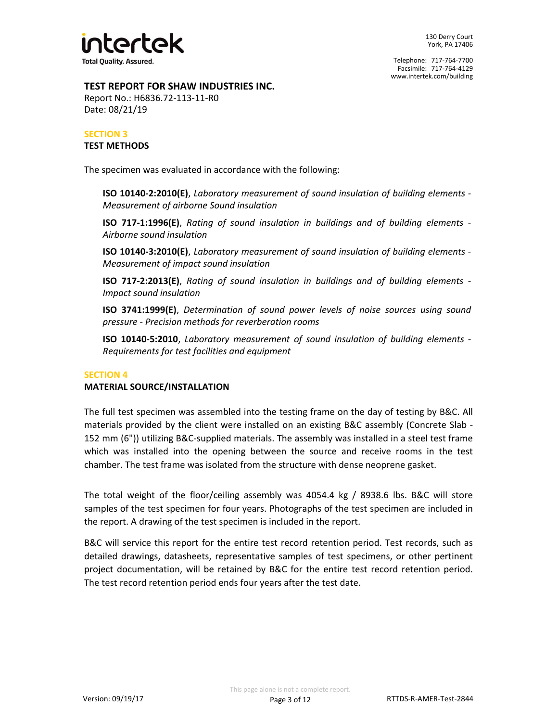

# **TEST REPORT FOR SHAW INDUSTRIES INC.**

Report No.: H6836.72-113-11-R0 Date: 08/21/19

# **SECTION 3 TEST METHODS**

The specimen was evaluated in accordance with the following:

**ISO 10140-2:2010(E)**, *Laboratory measurement of sound insulation of building elements - Measurement of airborne Sound insulation*

**ISO 717-1:1996(E)**, *Rating of sound insulation in buildings and of building elements - Airborne sound insulation*

**ISO 10140-3:2010(E)**, *Laboratory measurement of sound insulation of building elements - Measurement of impact sound insulation*

**ISO 717-2:2013(E)**, *Rating of sound insulation in buildings and of building elements - Impact sound insulation*

*pressure - Precision methods for reverberation rooms* **ISO 3741:1999(E)**, *Determination of sound power levels of noise sources using sound*

**ISO 10140-5:2010**, *Laboratory measurement of sound insulation of building elements - Requirements for test facilities and equipment*

# **SECTION 4**

# **MATERIAL SOURCE/INSTALLATION**

The full test specimen was assembled into the testing frame on the day of testing by B&C. All materials provided by the client were installed on an existing B&C assembly (Concrete Slab - 152 mm (6")) utilizing B&C-supplied materials. The assembly was installed in a steel test frame which was installed into the opening between the source and receive rooms in the test chamber. The test frame was isolated from the structure with dense neoprene gasket.

The total weight of the floor/ceiling assembly was 4054.4 kg / 8938.6 lbs. B&C will store samples of the test specimen for four years. Photographs of the test specimen are included in the report. A drawing of the test specimen is included in the report.

B&C will service this report for the entire test record retention period. Test records, such as detailed drawings, datasheets, representative samples of test specimens, or other pertinent project documentation, will be retained by B&C for the entire test record retention period. The test record retention period ends four years after the test date.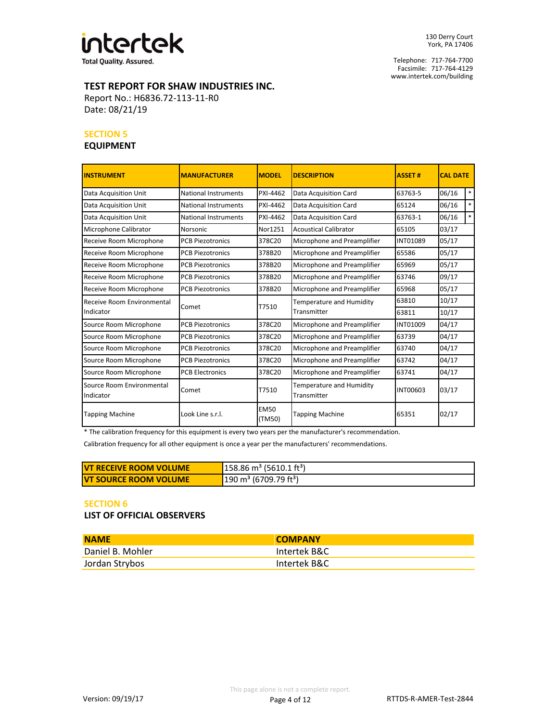

**Total Quality. Assured.** 

Telephone: 717-764-7700 Facsimile: 717-764-4129 www.intertek.com/building

# **TEST REPORT FOR SHAW INDUSTRIES INC.**

Report No.: H6836.72-113-11-R0 Date: 08/21/19

#### **SECTION 5**

# **EQUIPMENT**

| <b>INSTRUMENT</b>                      | <b>MANUFACTURER</b>         | <b>MODEL</b>          | <b>DESCRIPTION</b>                                  | <b>ASSET#</b>   | <b>CAL DATE</b> |        |
|----------------------------------------|-----------------------------|-----------------------|-----------------------------------------------------|-----------------|-----------------|--------|
| <b>Data Acquisition Unit</b>           | National Instruments        | PXI-4462              | Data Acquisition Card                               | 63763-5         | 06/16           | $*$    |
| <b>Data Acquisition Unit</b>           | National Instruments        | PXI-4462              | Data Acquisition Card                               | 65124           | 06/16           | $\ast$ |
| <b>Data Acquisition Unit</b>           | <b>National Instruments</b> | PXI-4462              | Data Acquisition Card                               | 63763-1         | 06/16           | $\ast$ |
| Microphone Calibrator                  | Norsonic                    | Nor1251               | <b>Acoustical Calibrator</b>                        | 65105           | 03/17           |        |
| Receive Room Microphone                | <b>PCB Piezotronics</b>     | 378C20                | Microphone and Preamplifier                         | <b>INT01089</b> | 05/17           |        |
| Receive Room Microphone                | <b>PCB Piezotronics</b>     | 378B20                | Microphone and Preamplifier                         | 65586           | 05/17           |        |
| Receive Room Microphone                | <b>PCB Piezotronics</b>     | 378B20                | Microphone and Preamplifier                         | 65969           | 05/17           |        |
| Receive Room Microphone                | <b>PCB Piezotronics</b>     | 378B20                | Microphone and Preamplifier                         | 63746           | 09/17           |        |
| Receive Room Microphone                | <b>PCB Piezotronics</b>     | 378B20                | Microphone and Preamplifier                         | 65968           | 05/17           |        |
| Receive Room Environmental             | Comet                       | T7510                 | Temperature and Humidity                            | 63810           | 10/17           |        |
| Indicator                              |                             |                       | Transmitter                                         | 63811           | 10/17           |        |
| Source Room Microphone                 | <b>PCB Piezotronics</b>     | 378C20                | Microphone and Preamplifier                         | INT01009        | 04/17           |        |
| Source Room Microphone                 | <b>PCB Piezotronics</b>     | 378C20                | Microphone and Preamplifier<br>63739                |                 | 04/17           |        |
| Source Room Microphone                 | <b>PCB Piezotronics</b>     | 378C20                | Microphone and Preamplifier                         | 63740           | 04/17           |        |
| Source Room Microphone                 | <b>PCB Piezotronics</b>     | 378C20                | Microphone and Preamplifier                         | 63742           | 04/17           |        |
| Source Room Microphone                 | <b>PCB Electronics</b>      | 378C20                | Microphone and Preamplifier<br>63741                |                 | 04/17           |        |
| Source Room Environmental<br>Indicator | Comet                       | T7510                 | Temperature and Humidity<br>INT00603<br>Transmitter |                 | 03/17           |        |
| <b>Tapping Machine</b>                 | Look Line s.r.l.            | <b>EM50</b><br>(TM50) | <b>Tapping Machine</b><br>65351                     |                 | 02/17           |        |

\* The calibration frequency for this equipment is every two years per the manufacturer's recommendation.

Calibration frequency for all other equipment is once a year per the manufacturers' recommendations.

| <u>IVT RECEIVE ROOM VOLUME</u> | $158.86 \text{ m}^3$ (5610.1 ft <sup>3</sup> ) |
|--------------------------------|------------------------------------------------|
| <u>IVT SOURCE ROOM VOLUME</u>  | $190 \text{ m}^3$ (6709.79 ft <sup>3</sup> )   |

#### **SECTION 6**

**LIST OF OFFICIAL OBSERVERS**

| <b>NAME</b>      | <b>COMPANY</b> |
|------------------|----------------|
| Daniel B. Mohler | Intertek B&C   |
| Jordan Strybos   | Intertek B&C   |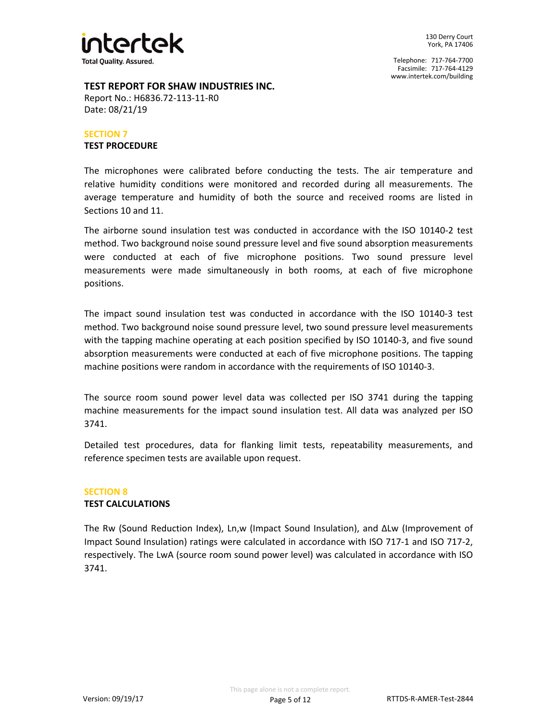

## **TEST REPORT FOR SHAW INDUSTRIES INC.**

Report No.: H6836.72-113-11-R0 Date: 08/21/19

#### **SECTION 7 TEST PROCEDURE**

The microphones were calibrated before conducting the tests. The air temperature and relative humidity conditions were monitored and recorded during all measurements. The average temperature and humidity of both the source and received rooms are listed in Sections 10 and 11.

The airborne sound insulation test was conducted in accordance with the ISO 10140-2 test method. Two background noise sound pressure level and five sound absorption measurements were conducted at each of five microphone positions. Two sound pressure level measurements were made simultaneously in both rooms, at each of five microphone positions.

The impact sound insulation test was conducted in accordance with the ISO 10140-3 test method. Two background noise sound pressure level, two sound pressure level measurements with the tapping machine operating at each position specified by ISO 10140-3, and five sound absorption measurements were conducted at each of five microphone positions. The tapping machine positions were random in accordance with the requirements of ISO 10140-3.

The source room sound power level data was collected per ISO 3741 during the tapping machine measurements for the impact sound insulation test. All data was analyzed per ISO 3741.

Detailed test procedures, data for flanking limit tests, repeatability measurements, and reference specimen tests are available upon request.

#### **SECTION 8 TEST CALCULATIONS**

The Rw (Sound Reduction Index), Ln,w (Impact Sound Insulation), and ΔLw (Improvement of Impact Sound Insulation) ratings were calculated in accordance with ISO 717-1 and ISO 717-2, respectively. The LwA (source room sound power level) was calculated in accordance with ISO 3741.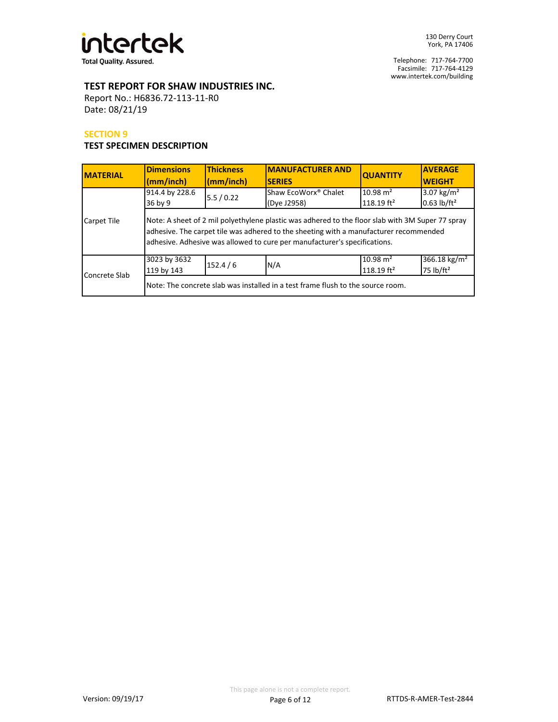

# **TEST REPORT FOR SHAW INDUSTRIES INC.**

Report No.: H6836.72-113-11-R0 Date: 08/21/19

### **SECTION 9**

# **TEST SPECIMEN DESCRIPTION**

| <b>MATERIAL</b> | <b>Dimensions</b><br>(mm/inch)                                                                                                   | <b>Thickness</b><br>(mm/inch) | <b>IMANUFACTURER AND</b><br><b>SERIES</b>                                                                                                                                                                                                                              | <b>QUANTITY</b>                      | <b>AVERAGE</b><br><b>WEIGHT</b>                   |
|-----------------|----------------------------------------------------------------------------------------------------------------------------------|-------------------------------|------------------------------------------------------------------------------------------------------------------------------------------------------------------------------------------------------------------------------------------------------------------------|--------------------------------------|---------------------------------------------------|
|                 | 914.4 by 228.6<br>36 by 9                                                                                                        | 5.5/0.22                      | Shaw EcoWorx <sup>®</sup> Chalet<br>(Dye J2958)                                                                                                                                                                                                                        | $10.98 \text{ m}^2$<br>118.19 $ft^2$ | 3.07 $\text{kg/m}^2$<br>$0.63$ lb/ft <sup>2</sup> |
| Carpet Tile     |                                                                                                                                  |                               | Note: A sheet of 2 mil polyethylene plastic was adhered to the floor slab with 3M Super 77 spray<br>adhesive. The carpet tile was adhered to the sheeting with a manufacturer recommended<br>adhesive. Adhesive was allowed to cure per manufacturer's specifications. |                                      |                                                   |
| Concrete Slab   | $10.98 \text{ m}^2$<br>366.18 kg/m <sup>2</sup><br>3023 by 3632<br>152.4/6<br>N/A<br>75 $lb/ft^2$<br>118.19 $ft^2$<br>119 by 143 |                               |                                                                                                                                                                                                                                                                        |                                      |                                                   |
|                 |                                                                                                                                  |                               | Note: The concrete slab was installed in a test frame flush to the source room.                                                                                                                                                                                        |                                      |                                                   |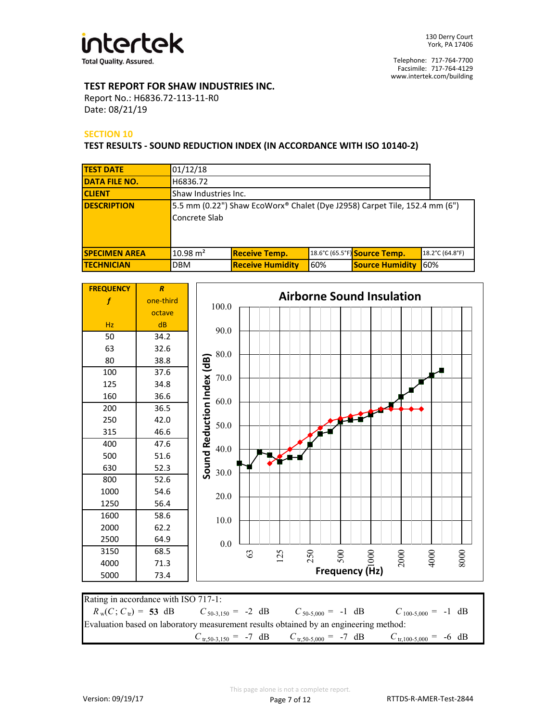

# **TEST REPORT FOR SHAW INDUSTRIES INC.**

Report No.: H6836.72-113-11-R0 Date: 08/21/19

## **SECTION 10**

#### **TEST RESULTS - SOUND REDUCTION INDEX (IN ACCORDANCE WITH ISO 10140-2)**

| <b>TEST DATE</b>     | 01/12/18            |                                                                             |     |                              |                 |
|----------------------|---------------------|-----------------------------------------------------------------------------|-----|------------------------------|-----------------|
| <b>DATA FILE NO.</b> | H6836.72            |                                                                             |     |                              |                 |
| <b>CLIENT</b>        |                     | Shaw Industries Inc.                                                        |     |                              |                 |
| <b>IDESCRIPTION</b>  | Concrete Slab       | [5.5 mm (0.22") Shaw EcoWorx® Chalet (Dye J2958) Carpet Tile, 152.4 mm (6") |     |                              |                 |
| <b>SPECIMEN AREA</b> | $10.98 \text{ m}^2$ | <b>Receive Temp.</b>                                                        |     | 18.6°C (65.5°F) Source Temp. | 18.2°C (64.8°F) |
| <b>ITECHNICIAN</b>   | <b>DBM</b>          | <b>Receive Humidity</b>                                                     | 60% | <b>Source Humidity</b>       | 60%             |



| Rating in accordance with ISO 717-1:                                                        |  |                                                                                                                             |  |  |
|---------------------------------------------------------------------------------------------|--|-----------------------------------------------------------------------------------------------------------------------------|--|--|
| $R_w(C; C_w) = 53$ dB $C_{50-3.150} = -2$ dB $C_{50-5.000} = -1$ dB $C_{100-5.000} = -1$ dB |  |                                                                                                                             |  |  |
| Evaluation based on laboratory measurement results obtained by an engineering method:       |  |                                                                                                                             |  |  |
|                                                                                             |  | $C_{\text{tr,50-3,150}} = -7 \text{ dB}$ $C_{\text{tr,50-5,000}} = -7 \text{ dB}$ $C_{\text{tr,100-5,000}} = -6 \text{ dB}$ |  |  |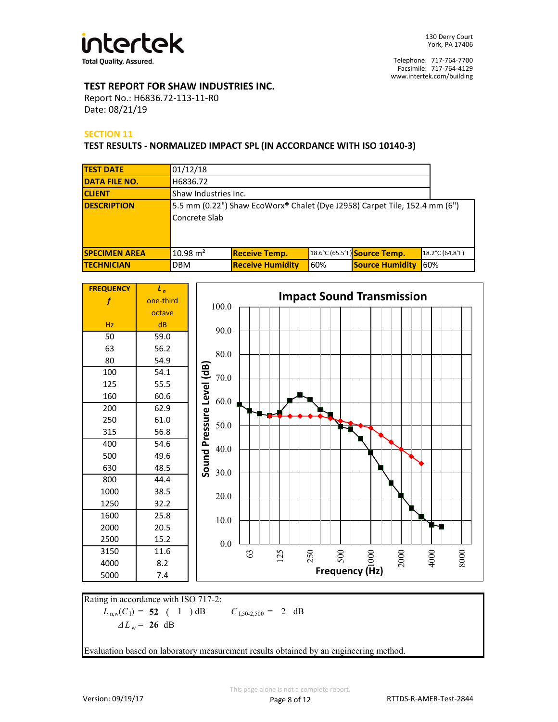

# **TEST REPORT FOR SHAW INDUSTRIES INC.**

Report No.: H6836.72-113-11-R0 Date: 08/21/19

## **SECTION 11**

#### **TEST RESULTS - NORMALIZED IMPACT SPL (IN ACCORDANCE WITH ISO 10140-3)**

| <b>TEST DATE</b>     | 01/12/18            |                                                                            |     |                              |                 |
|----------------------|---------------------|----------------------------------------------------------------------------|-----|------------------------------|-----------------|
| <b>DATA FILE NO.</b> | H6836.72            |                                                                            |     |                              |                 |
| <b>CLIENT</b>        |                     | Shaw Industries Inc.                                                       |     |                              |                 |
| <b>IDESCRIPTION</b>  | Concrete Slab       | 5.5 mm (0.22") Shaw EcoWorx® Chalet (Dye J2958) Carpet Tile, 152.4 mm (6") |     |                              |                 |
| <b>SPECIMEN AREA</b> | $10.98 \text{ m}^2$ | <b>Receive Temp.</b>                                                       |     | 18.6°C (65.5°F) Source Temp. | 18.2°C (64.8°F) |
| <b>ITECHNICIAN</b>   | <b>DBM</b>          | <b>Receive Humidity</b>                                                    | 60% | <b>Source Humidity</b>       | 60%             |



 $L_{n,w}(C_1) = 52$  ( 1 ) dB  $C_{1,50-2,500} = 2$  dB Rating in accordance with ISO 717-2:  $\Delta L_w = 26$  dB

Evaluation based on laboratory measurement results obtained by an engineering method.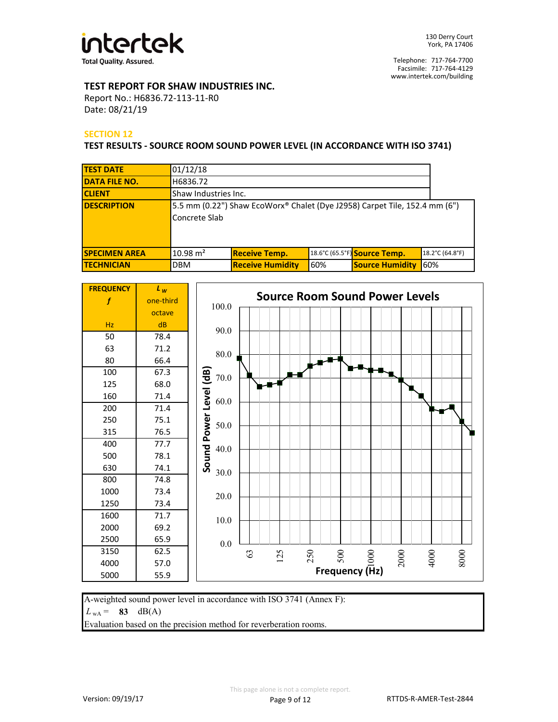

# **TEST REPORT FOR SHAW INDUSTRIES INC.**

Report No.: H6836.72-113-11-R0 Date: 08/21/19

## **SECTION 12**

**TEST RESULTS - SOURCE ROOM SOUND POWER LEVEL (IN ACCORDANCE WITH ISO 3741)**

| <b>TEST DATE</b>     | 01/12/18            |                                                                             |     |                              |                 |
|----------------------|---------------------|-----------------------------------------------------------------------------|-----|------------------------------|-----------------|
| <b>DATA FILE NO.</b> | H6836.72            |                                                                             |     |                              |                 |
| <b>CLIENT</b>        |                     | Shaw Industries Inc.                                                        |     |                              |                 |
| <b>DESCRIPTION</b>   | Concrete Slab       | [5.5 mm (0.22") Shaw EcoWorx® Chalet (Dye J2958) Carpet Tile, 152.4 mm (6") |     |                              |                 |
| <b>SPECIMEN AREA</b> | $10.98 \text{ m}^2$ | <b>Receive Temp.</b>                                                        |     | 18.6°C (65.5°F) Source Temp. | 18.2°C (64.8°F) |
| <b>TECHNICIAN</b>    | <b>DBM</b>          | <b>Receive Humidity</b>                                                     | 60% | <b>Source Humidity</b>       | 60%             |



A-weighted sound power level in accordance with ISO 3741 (Annex F):

 $L_{WA} = 83 \text{ dB}(A)$ 

Evaluation based on the precision method for reverberation rooms.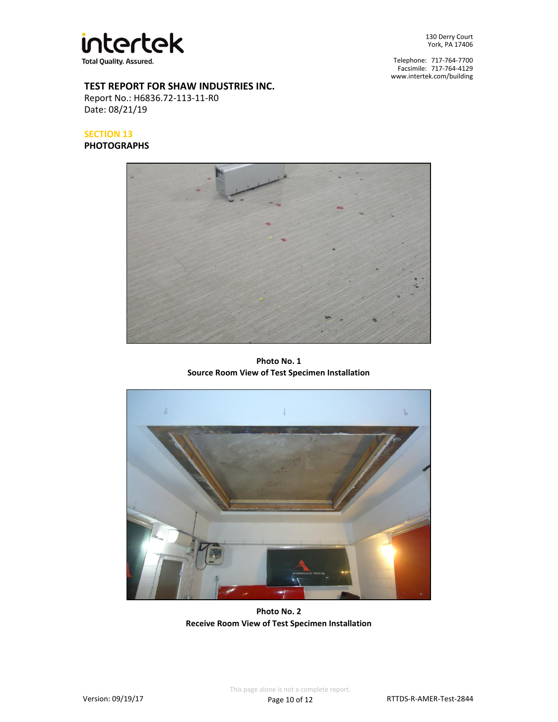

130 Derry Court York, PA 17406

Telephone: 717-764-7700 Facsimile: 717-764-4129 www.intertek.com/building

## **TEST REPORT FOR SHAW INDUSTRIES INC.**

Report No.: H6836.72-113-11-R0 Date: 08/21/19

# **SECTION 13**

**PHOTOGRAPHS**



**Photo No. 1 Source Room View of Test Specimen Installation**



**Photo No. 2 Receive Room View of Test Specimen Installation**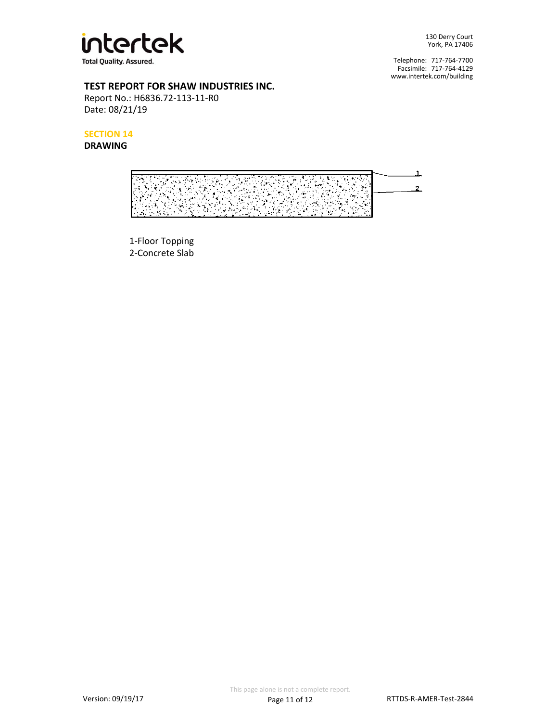

130 Derry Court York, PA 17406

Telephone: 717-764-7700 Facsimile: 717-764-4129 www.intertek.com/building

# **TEST REPORT FOR SHAW INDUSTRIES INC.**

Report No.: H6836.72-113-11-R0 Date: 08/21/19

**SECTION 14**

# **DRAWING**



1-Floor Topping 2-Concrete Slab